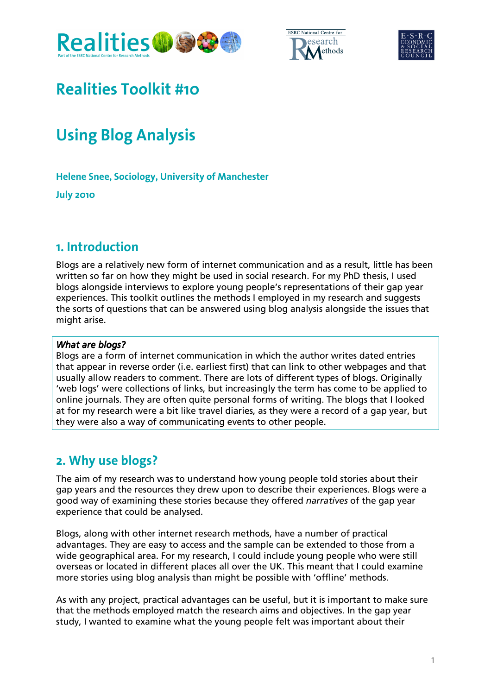





# **Realities Toolkit #10**

# **Using Blog Analysis**

**Helene Snee, Sociology, University of Manchester** 

**July 2010** 

### **. Introduction**

Blogs are a relatively new form of internet communication and as a result, little has been written so far on how they might be used in social research. For my PhD thesis, I used blogs alongside interviews to explore young people's representations of their gap year experiences. This toolkit outlines the methods I employed in my research and suggests the sorts of questions that can be answered using blog analysis alongside the issues that might arise.

#### What are blogs?

Blogs are a form of internet communication in which the author writes dated entries that appear in reverse order (i.e. earliest first) that can link to other webpages and that usually allow readers to comment. There are lots of different types of blogs. Originally 'web logs' were collections of links, but increasingly the term has come to be applied to online journals. They are often quite personal forms of writing. The blogs that I looked at for my research were a bit like travel diaries, as they were a record of a gap year, but they were also a way of communicating events to other people.

### **. Why use blogs?**

The aim of my research was to understand how young people told stories about their gap years and the resources they drew upon to describe their experiences. Blogs were a good way of examining these stories because they offered narratives of the gap year experience that could be analysed.

Blogs, along with other internet research methods, have a number of practical advantages. They are easy to access and the sample can be extended to those from a wide geographical area. For my research, I could include young people who were still overseas or located in different places all over the UK. This meant that I could examine more stories using blog analysis than might be possible with 'offline' methods.

As with any project, practical advantages can be useful, but it is important to make sure that the methods employed match the research aims and objectives. In the gap year study, I wanted to examine what the young people felt was important about their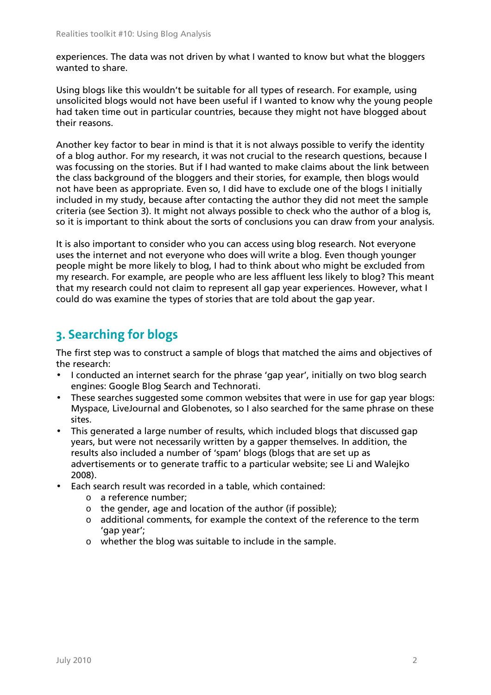experiences. The data was not driven by what I wanted to know but what the bloggers wanted to share.

Using blogs like this wouldn't be suitable for all types of research. For example, using unsolicited blogs would not have been useful if I wanted to know why the young people had taken time out in particular countries, because they might not have blogged about their reasons.

Another key factor to bear in mind is that it is not always possible to verify the identity of a blog author. For my research, it was not crucial to the research questions, because I was focussing on the stories. But if I had wanted to make claims about the link between the class background of the bloggers and their stories, for example, then blogs would not have been as appropriate. Even so, I did have to exclude one of the blogs I initially included in my study, because after contacting the author they did not meet the sample criteria (see Section 3). It might not always possible to check who the author of a blog is, so it is important to think about the sorts of conclusions you can draw from your analysis.

It is also important to consider who you can access using blog research. Not everyone uses the internet and not everyone who does will write a blog. Even though younger people might be more likely to blog, I had to think about who might be excluded from my research. For example, are people who are less affluent less likely to blog? This meant that my research could not claim to represent all gap year experiences. However, what I could do was examine the types of stories that are told about the gap year.

### **. Searching for blogs**

The first step was to construct a sample of blogs that matched the aims and objectives of the research:

- I conducted an internet search for the phrase 'gap year', initially on two blog search engines: Google Blog Search and Technorati.
- These searches suggested some common websites that were in use for gap year blogs: Myspace, LiveJournal and Globenotes, so I also searched for the same phrase on these sites.
- This generated a large number of results, which included blogs that discussed gap years, but were not necessarily written by a gapper themselves. In addition, the results also included a number of 'spam' blogs (blogs that are set up as advertisements or to generate traffic to a particular website; see Li and Walejko 2008).
- Each search result was recorded in a table, which contained:
	- o a reference number;
	- o the gender, age and location of the author (if possible);
	- o additional comments, for example the context of the reference to the term 'gap year';
	- o whether the blog was suitable to include in the sample.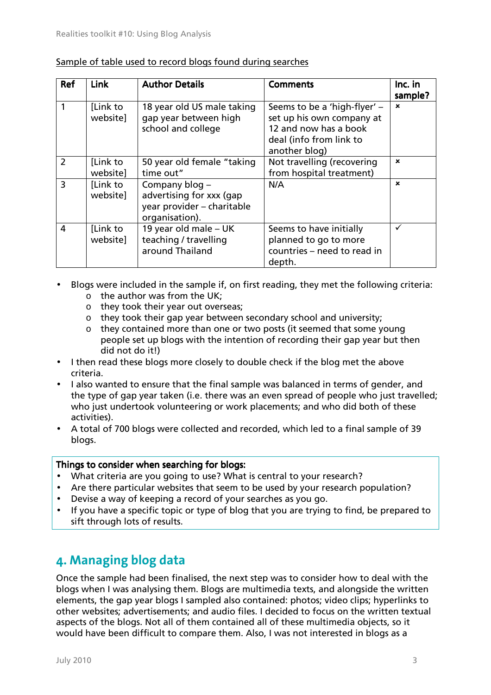| Ref           | <b>Link</b>          | <b>Author Details</b>                                                                      | <b>Comments</b>                                                                                                                | Inc. in<br>sample? |
|---------------|----------------------|--------------------------------------------------------------------------------------------|--------------------------------------------------------------------------------------------------------------------------------|--------------------|
|               | [Link to<br>website] | 18 year old US male taking<br>gap year between high<br>school and college                  | Seems to be a 'high-flyer' -<br>set up his own company at<br>12 and now has a book<br>deal (info from link to<br>another blog) | $\mathbf x$        |
| $\mathcal{P}$ | [Link to<br>website] | 50 year old female "taking"<br>time out"                                                   | Not travelling (recovering<br>from hospital treatment)                                                                         | $\mathbf x$        |
| 3             | [Link to<br>websitel | Company blog -<br>advertising for xxx (gap<br>year provider - charitable<br>organisation). | N/A                                                                                                                            | $\mathbf x$        |
| 4             | [Link to<br>website] | 19 year old male - UK<br>teaching / travelling<br>around Thailand                          | Seems to have initially<br>planned to go to more<br>countries – need to read in<br>depth.                                      | ✓                  |

#### Sample of table used to record blogs found during searches

- Blogs were included in the sample if, on first reading, they met the following criteria:
	- $\circ$  the author was from the UK:
	- o they took their year out overseas;
	- o they took their gap year between secondary school and university;
	- o they contained more than one or two posts (it seemed that some young people set up blogs with the intention of recording their gap year but then did not do it!)
- I then read these blogs more closely to double check if the blog met the above criteria.
- I also wanted to ensure that the final sample was balanced in terms of gender, and the type of gap year taken (i.e. there was an even spread of people who just travelled; who just undertook volunteering or work placements; and who did both of these activities).
- A total of 700 blogs were collected and recorded, which led to a final sample of 39 blogs.

#### Things to consider when searching for blogs:

- What criteria are you going to use? What is central to your research?
- Are there particular websites that seem to be used by your research population?
- Devise a way of keeping a record of your searches as you go.
- If you have a specific topic or type of blog that you are trying to find, be prepared to sift through lots of results.

### **. Managing blog data**

Once the sample had been finalised, the next step was to consider how to deal with the blogs when I was analysing them. Blogs are multimedia texts, and alongside the written elements, the gap year blogs I sampled also contained: photos; video clips; hyperlinks to other websites; advertisements; and audio files. I decided to focus on the written textual aspects of the blogs. Not all of them contained all of these multimedia objects, so it would have been difficult to compare them. Also, I was not interested in blogs as a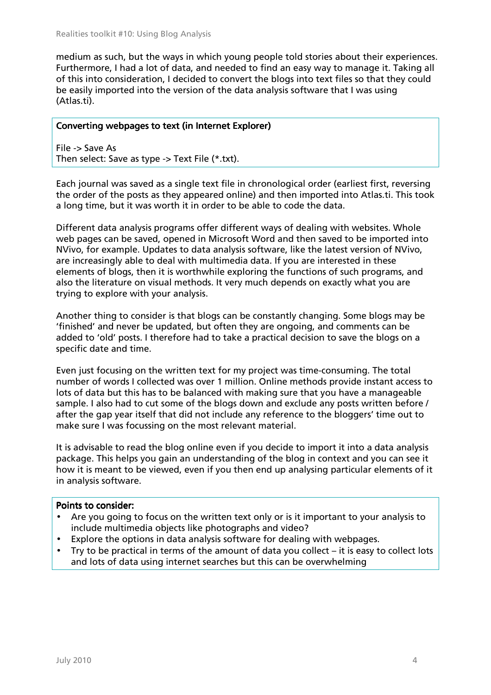medium as such, but the ways in which young people told stories about their experiences. Furthermore, I had a lot of data, and needed to find an easy way to manage it. Taking all of this into consideration, I decided to convert the blogs into text files so that they could be easily imported into the version of the data analysis software that I was using (Atlas.ti).

#### Converting webpages to text (in Internet Explorer)

File -> Save As Then select: Save as type -> Text File (\*.txt).

Each journal was saved as a single text file in chronological order (earliest first, reversing the order of the posts as they appeared online) and then imported into Atlas.ti. This took a long time, but it was worth it in order to be able to code the data.

Different data analysis programs offer different ways of dealing with websites. Whole web pages can be saved, opened in Microsoft Word and then saved to be imported into NVivo, for example. Updates to data analysis software, like the latest version of NVivo, are increasingly able to deal with multimedia data. If you are interested in these elements of blogs, then it is worthwhile exploring the functions of such programs, and also the literature on visual methods. It very much depends on exactly what you are trying to explore with your analysis.

Another thing to consider is that blogs can be constantly changing. Some blogs may be 'finished' and never be updated, but often they are ongoing, and comments can be added to 'old' posts. I therefore had to take a practical decision to save the blogs on a specific date and time.

Even just focusing on the written text for my project was time-consuming. The total number of words I collected was over 1 million. Online methods provide instant access to lots of data but this has to be balanced with making sure that you have a manageable sample. I also had to cut some of the blogs down and exclude any posts written before / after the gap year itself that did not include any reference to the bloggers' time out to make sure I was focussing on the most relevant material.

It is advisable to read the blog online even if you decide to import it into a data analysis package. This helps you gain an understanding of the blog in context and you can see it how it is meant to be viewed, even if you then end up analysing particular elements of it in analysis software.

#### Points to consider:

- Are you going to focus on the written text only or is it important to your analysis to include multimedia objects like photographs and video?
- Explore the options in data analysis software for dealing with webpages.
- Try to be practical in terms of the amount of data you collect it is easy to collect lots and lots of data using internet searches but this can be overwhelming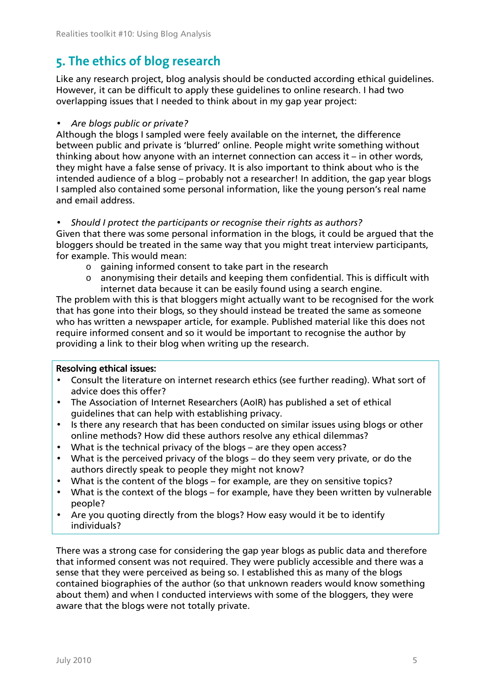## **. The ethics of blog research**

Like any research project, blog analysis should be conducted according ethical guidelines. However, it can be difficult to apply these guidelines to online research. I had two overlapping issues that I needed to think about in my gap year project:

#### • Are blogs public or private?

Although the blogs I sampled were feely available on the internet, the difference between public and private is 'blurred' online. People might write something without thinking about how anyone with an internet connection can access it – in other words, they might have a false sense of privacy. It is also important to think about who is the intended audience of a blog – probably not a researcher! In addition, the gap year blogs I sampled also contained some personal information, like the young person's real name and email address.

#### Should I protect the participants or recognise their rights as authors?

Given that there was some personal information in the blogs, it could be argued that the bloggers should be treated in the same way that you might treat interview participants, for example. This would mean:

- $\circ$  gaining informed consent to take part in the research
- $\circ$  anonymising their details and keeping them confidential. This is difficult with internet data because it can be easily found using a search engine.

The problem with this is that bloggers might actually want to be recognised for the work that has gone into their blogs, so they should instead be treated the same as someone who has written a newspaper article, for example. Published material like this does not require informed consent and so it would be important to recognise the author by providing a link to their blog when writing up the research.

#### Resolving ethical issues:

- Consult the literature on internet research ethics (see further reading). What sort of advice does this offer?
- The Association of Internet Researchers (AoIR) has published a set of ethical guidelines that can help with establishing privacy.
- Is there any research that has been conducted on similar issues using blogs or other online methods? How did these authors resolve any ethical dilemmas?
- What is the technical privacy of the blogs are they open access?
- What is the perceived privacy of the blogs do they seem very private, or do the authors directly speak to people they might not know?
- What is the content of the blogs for example, are they on sensitive topics?
- What is the context of the blogs for example, have they been written by vulnerable people?
- Are you quoting directly from the blogs? How easy would it be to identify individuals?

There was a strong case for considering the gap year blogs as public data and therefore that informed consent was not required. They were publicly accessible and there was a sense that they were perceived as being so. I established this as many of the blogs contained biographies of the author (so that unknown readers would know something about them) and when I conducted interviews with some of the bloggers, they were aware that the blogs were not totally private.